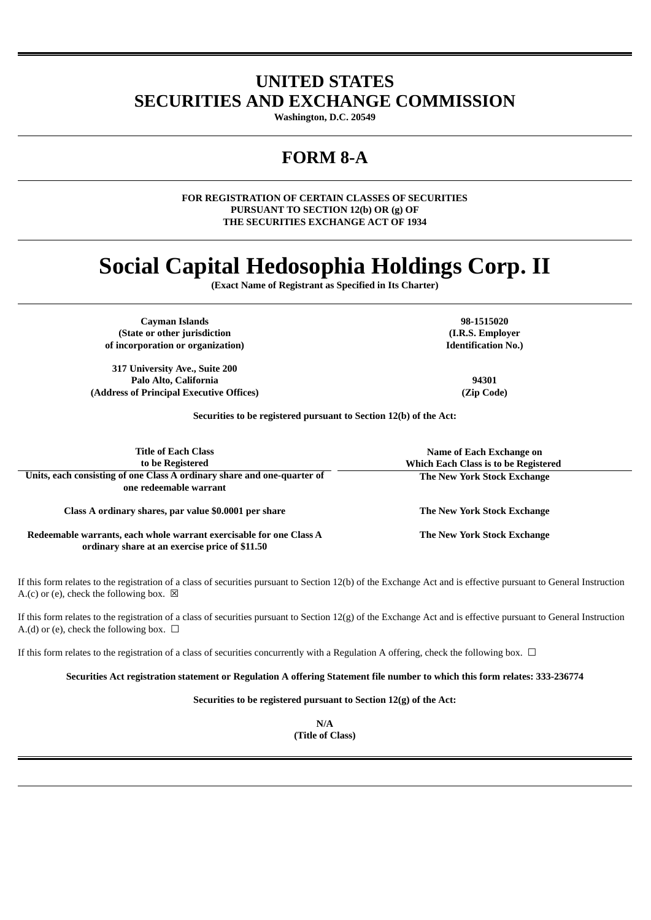## **UNITED STATES SECURITIES AND EXCHANGE COMMISSION**

**Washington, D.C. 20549**

## **FORM 8-A**

**FOR REGISTRATION OF CERTAIN CLASSES OF SECURITIES PURSUANT TO SECTION 12(b) OR (g) OF THE SECURITIES EXCHANGE ACT OF 1934**

# **Social Capital Hedosophia Holdings Corp. II**

**(Exact Name of Registrant as Specified in Its Charter)**

**Cayman Islands 98-1515020 (State or other jurisdiction of incorporation or organization)**

**317 University Ave., Suite 200 Palo Alto, California 94301 (Address of Principal Executive Offices) (Zip Code)**

**(I.R.S. Employer Identification No.)**

**Securities to be registered pursuant to Section 12(b) of the Act:**

| <b>Title of Each Class</b><br>to be Registered                                                                        | Name of Each Exchange on<br><b>Which Each Class is to be Registered</b> |
|-----------------------------------------------------------------------------------------------------------------------|-------------------------------------------------------------------------|
| Units, each consisting of one Class A ordinary share and one-quarter of<br>one redeemable warrant                     | The New York Stock Exchange                                             |
| Class A ordinary shares, par value \$0.0001 per share                                                                 | The New York Stock Exchange                                             |
| Redeemable warrants, each whole warrant exercisable for one Class A<br>ordinary share at an exercise price of \$11.50 | The New York Stock Exchange                                             |

If this form relates to the registration of a class of securities pursuant to Section 12(b) of the Exchange Act and is effective pursuant to General Instruction A.(c) or (e), check the following box.  $\boxtimes$ 

If this form relates to the registration of a class of securities pursuant to Section 12(g) of the Exchange Act and is effective pursuant to General Instruction A.(d) or (e), check the following box.  $\Box$ 

If this form relates to the registration of a class of securities concurrently with a Regulation A offering, check the following box.  $\Box$ 

Securities Act registration statement or Regulation A offering Statement file number to which this form relates: 333-236774

**Securities to be registered pursuant to Section 12(g) of the Act:**

**N/A (Title of Class)**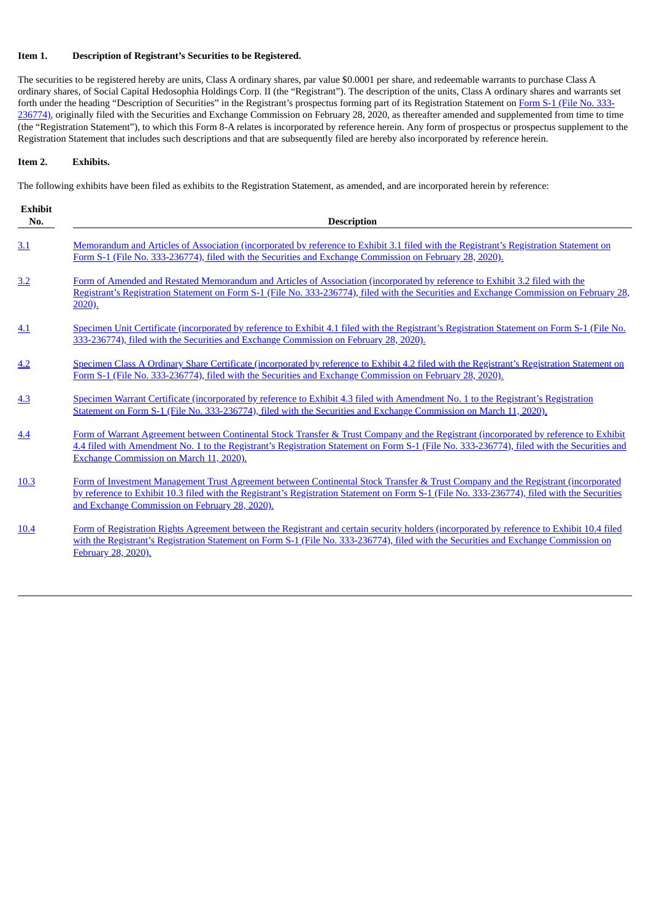#### **Item 1. Description of Registrant's Securities to be Registered.**

The securities to be registered hereby are units, Class A ordinary shares, par value \$0.0001 per share, and redeemable warrants to purchase Class A ordinary shares, of Social Capital Hedosophia Holdings Corp. II (the "Registrant"). The description of the units, Class A ordinary shares and warrants set forth under the heading "Description of Securities" in the Registrant's prospectus forming part of its Registration Statement on Form S-1 (File No. 333236774), originally filed with the Securities and Exchange Commission on February 28, 2020, as thereafter amended and [supplemented](https://www.sec.gov/Archives/edgar/data/1801169/000110465920031521/tv538687-ipobs1a.htm) from time to time (the "Registration Statement"), to which this Form 8-A relates is incorporated by reference herein. Any form of prospectus or prospectus supplement to the Registration Statement that includes such descriptions and that are subsequently filed are hereby also incorporated by reference herein.

#### **Item 2. Exhibits.**

The following exhibits have been filed as exhibits to the Registration Statement, as amended, and are incorporated herein by reference:

| <b>Exhibit</b><br>No. | <b>Description</b>                                                                                                                                                                                                                                                                                                                  |
|-----------------------|-------------------------------------------------------------------------------------------------------------------------------------------------------------------------------------------------------------------------------------------------------------------------------------------------------------------------------------|
| 3.1                   | Memorandum and Articles of Association (incorporated by reference to Exhibit 3.1 filed with the Registrant's Registration Statement on<br>Form S-1 (File No. 333-236774), filed with the Securities and Exchange Commission on February 28, 2020).                                                                                  |
| 3.2                   | Form of Amended and Restated Memorandum and Articles of Association (incorporated by reference to Exhibit 3.2 filed with the<br>Registrant's Registration Statement on Form S-1 (File No. 333-236774), filed with the Securities and Exchange Commission on February 28,<br>$2020$ ).                                               |
| 4.1                   | Specimen Unit Certificate (incorporated by reference to Exhibit 4.1 filed with the Registrant's Registration Statement on Form S-1 (File No.<br>333-236774), filed with the Securities and Exchange Commission on February 28, 2020).                                                                                               |
| 4.2                   | Specimen Class A Ordinary Share Certificate (incorporated by reference to Exhibit 4.2 filed with the Registrant's Registration Statement on<br>Form S-1 (File No. 333-236774), filed with the Securities and Exchange Commission on February 28, 2020).                                                                             |
| 4.3                   | Specimen Warrant Certificate (incorporated by reference to Exhibit 4.3 filed with Amendment No. 1 to the Registrant's Registration<br>Statement on Form S-1 (File No. 333-236774), filed with the Securities and Exchange Commission on March 11, 2020).                                                                            |
| 4.4                   | Form of Warrant Agreement between Continental Stock Transfer & Trust Company and the Registrant (incorporated by reference to Exhibit<br>4.4 filed with Amendment No. 1 to the Registrant's Registration Statement on Form S-1 (File No. 333-236774), filed with the Securities and<br>Exchange Commission on March 11, 2020).      |
| <b>10.3</b>           | Form of Investment Management Trust Agreement between Continental Stock Transfer & Trust Company and the Registrant (incorporated<br>by reference to Exhibit 10.3 filed with the Registrant's Registration Statement on Form S-1 (File No. 333-236774), filed with the Securities<br>and Exchange Commission on February 28, 2020). |
| 10.4                  | Form of Registration Rights Agreement between the Registrant and certain security holders (incorporated by reference to Exhibit 10.4 filed<br>with the Registrant's Registration Statement on Form S-1 (File No. 333-236774), filed with the Securities and Exchange Commission on<br>February 28, 2020).                           |